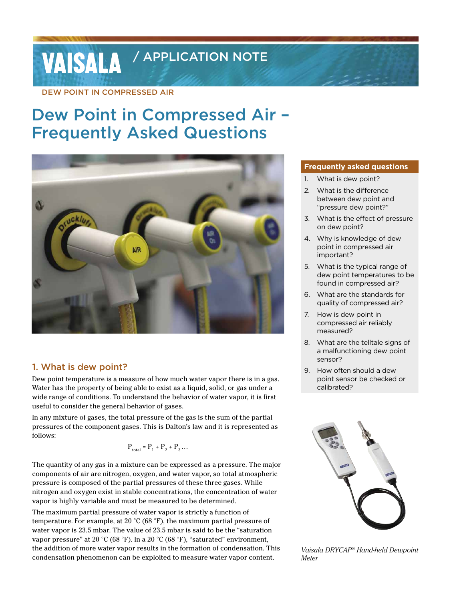# **VAISALA** / APPLICATION NOTE

DEW POINT IN COMPRESSED AIR

## Dew Point in Compressed Air – Frequently Asked Questions



#### 1. What is dew point?

Dew point temperature is a measure of how much water vapor there is in a gas. Water has the property of being able to exist as a liquid, solid, or gas under a wide range of conditions. To understand the behavior of water vapor, it is first useful to consider the general behavior of gases.

In any mixture of gases, the total pressure of the gas is the sum of the partial pressures of the component gases. This is Dalton's law and it is represented as follows:

$$
\mathbf{P}_{\text{total}} = \mathbf{P}_1 + \mathbf{P}_2 + \mathbf{P}_3 \dots
$$

The quantity of any gas in a mixture can be expressed as a pressure. The major components of air are nitrogen, oxygen, and water vapor, so total atmospheric pressure is composed of the partial pressures of these three gases. While nitrogen and oxygen exist in stable concentrations, the concentration of water vapor is highly variable and must be measured to be determined.

The maximum partial pressure of water vapor is strictly a function of temperature. For example, at 20 °C (68 °F), the maximum partial pressure of water vapor is 23.5 mbar. The value of 23.5 mbar is said to be the "saturation vapor pressure" at 20 °C (68 °F). In a 20 °C (68 °F), "saturated" environment, the addition of more water vapor results in the formation of condensation. This condensation phenomenon can be exploited to measure water vapor content.

#### **Frequently asked questions**

- 1. What is dew point?
- 2. What is the difference between dew point and "pressure dew point?"
- 3. What is the effect of pressure on dew point?
- 4. Why is knowledge of dew point in compressed air important?
- 5. What is the typical range of dew point temperatures to be found in compressed air?
- 6. What are the standards for quality of compressed air?
- 7. How is dew point in compressed air reliably measured?
- 8. What are the telltale signs of a malfunctioning dew point sensor?
- 9. How often should a dew point sensor be checked or calibrated?



*Vaisala DRYCAP® Hand-held Dewpoint Meter*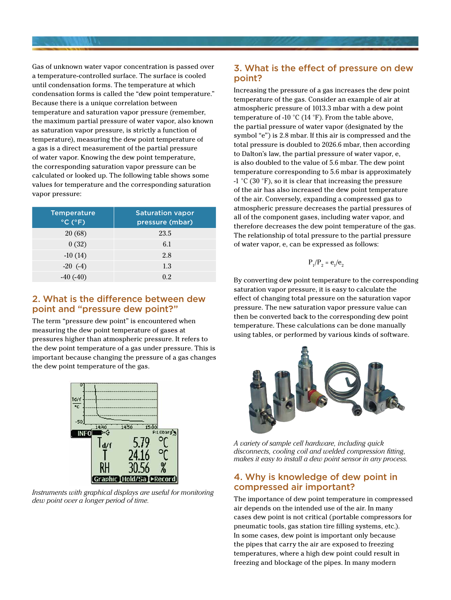Gas of unknown water vapor concentration is passed over a temperature-controlled surface. The surface is cooled until condensation forms. The temperature at which condensation forms is called the "dew point temperature." Because there is a unique correlation between temperature and saturation vapor pressure (remember, the maximum partial pressure of water vapor, also known as saturation vapor pressure, is strictly a function of temperature), measuring the dew point temperature of a gas is a direct measurement of the partial pressure of water vapor. Knowing the dew point temperature, the corresponding saturation vapor pressure can be calculated or looked up. The following table shows some values for temperature and the corresponding saturation vapor pressure:

| <b>Temperature</b><br>$\degree$ C ( $\degree$ F) | <b>Saturation vapor</b><br>pressure (mbar) |
|--------------------------------------------------|--------------------------------------------|
| 20 (68)                                          | 23.5                                       |
| 0(32)                                            | 6.1                                        |
| $-10(14)$                                        | 2.8                                        |
| $-20$ (-4)                                       | 1.3                                        |
| $-40(-40)$                                       | 0.2                                        |

#### 2. What is the difference between dew point and "pressure dew point?"

The term "pressure dew point" is encountered when measuring the dew point temperature of gases at pressures higher than atmospheric pressure. It refers to the dew point temperature of a gas under pressure. This is important because changing the pressure of a gas changes the dew point temperature of the gas.



*Instruments with graphical displays are useful for monitoring dew point over a longer period of time.*

### 3. What is the effect of pressure on dew point?

Increasing the pressure of a gas increases the dew point temperature of the gas. Consider an example of air at atmospheric pressure of 1013.3 mbar with a dew point temperature of -10 °C (14 °F). From the table above, the partial pressure of water vapor (designated by the symbol "e") is 2.8 mbar. If this air is compressed and the total pressure is doubled to 2026.6 mbar, then according to Dalton's law, the partial pressure of water vapor, e, is also doubled to the value of 5.6 mbar. The dew point temperature corresponding to 5.6 mbar is approximately -1 °C (30 °F), so it is clear that increasing the pressure of the air has also increased the dew point temperature of the air. Conversely, expanding a compressed gas to atmospheric pressure decreases the partial pressures of all of the component gases, including water vapor, and therefore decreases the dew point temperature of the gas. The relationship of total pressure to the partial pressure of water vapor, e, can be expressed as follows:

$$
\mathbf{P}_1/\mathbf{P}_2 = \mathbf{e}_1/\mathbf{e}_2
$$

By converting dew point temperature to the corresponding saturation vapor pressure, it is easy to calculate the effect of changing total pressure on the saturation vapor pressure. The new saturation vapor pressure value can then be converted back to the corresponding dew point temperature. These calculations can be done manually using tables, or performed by various kinds of software.



*A variety of sample cell hardware, including quick disconnects, cooling coil and welded compression fitting, makes it easy to install a dew point sensor in any process.*

#### 4. Why is knowledge of dew point in compressed air important?

The importance of dew point temperature in compressed air depends on the intended use of the air. In many cases dew point is not critical (portable compressors for pneumatic tools, gas station tire filling systems, etc.). In some cases, dew point is important only because the pipes that carry the air are exposed to freezing temperatures, where a high dew point could result in freezing and blockage of the pipes. In many modern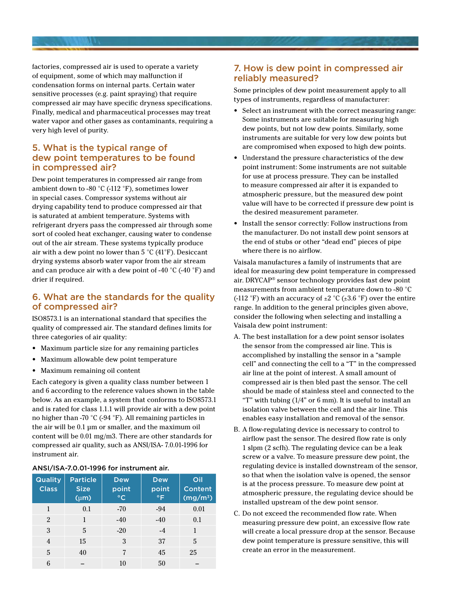factories, compressed air is used to operate a variety of equipment, some of which may malfunction if condensation forms on internal parts. Certain water sensitive processes (e.g. paint spraying) that require compressed air may have specific dryness specifications. Finally, medical and pharmaceutical processes may treat water vapor and other gases as contaminants, requiring a very high level of purity.

#### 5. What is the typical range of dew point temperatures to be found in compressed air?

Dew point temperatures in compressed air range from ambient down to -80 °C (-112 °F), sometimes lower in special cases. Compressor systems without air drying capability tend to produce compressed air that is saturated at ambient temperature. Systems with refrigerant dryers pass the compressed air through some sort of cooled heat exchanger, causing water to condense out of the air stream. These systems typically produce air with a dew point no lower than 5 °C (41°F). Desiccant drying systems absorb water vapor from the air stream and can produce air with a dew point of -40 °C (-40 °F) and drier if required.

#### 6. What are the standards for the quality of compressed air?

ISO8573.1 is an international standard that specifies the quality of compressed air. The standard defines limits for three categories of air quality:

- • Maximum particle size for any remaining particles
- Maximum allowable dew point temperature
- Maximum remaining oil content

Each category is given a quality class number between 1 and 6 according to the reference values shown in the table below. As an example, a system that conforms to ISO8573.1 and is rated for class 1.1.1 will provide air with a dew point no higher than -70 °C (-94 °F). All remaining particles in the air will be 0.1 µm or smaller, and the maximum oil content will be 0.01 mg/m3. There are other standards for compressed air quality, such as ANSI/ISA- 7.0.01-1996 for instrument air.

#### ANSI/ISA-7.0.01-1996 for instrument air.

| <b>Quality</b><br><b>Class</b> | <b>Particle</b><br><b>Size</b><br>$(\mu m)$ | <b>Dew</b><br>point<br>$\circ$ C | <b>Dew</b><br>point<br>$\circ$ F | Oil<br>Content<br>$\overline{(mg/m^3)}$ |
|--------------------------------|---------------------------------------------|----------------------------------|----------------------------------|-----------------------------------------|
| 1                              | 0.1                                         | $-70$                            | -94                              | 0.01                                    |
| $\mathfrak{D}$                 | 1                                           | $-40$                            | $-40$                            | 0.1                                     |
| 3                              | 5                                           | $-20$                            | $-4$                             | 1                                       |
| $\overline{4}$                 | 15                                          | 3                                | 37                               | 5                                       |
| 5                              | 40                                          | 7                                | 45                               | 25                                      |
| 6                              |                                             | 10                               | 50                               |                                         |

#### 7. How is dew point in compressed air reliably measured?

Some principles of dew point measurement apply to all types of instruments, regardless of manufacturer:

- Select an instrument with the correct measuring range: Some instruments are suitable for measuring high dew points, but not low dew points. Similarly, some instruments are suitable for very low dew points but are compromised when exposed to high dew points.
- Understand the pressure characteristics of the dew point instrument: Some instruments are not suitable for use at process pressure. They can be installed to measure compressed air after it is expanded to atmospheric pressure, but the measured dew point value will have to be corrected if pressure dew point is the desired measurement parameter.
- Install the sensor correctly: Follow instructions from the manufacturer. Do not install dew point sensors at the end of stubs or other "dead end" pieces of pipe where there is no airflow.

Vaisala manufactures a family of instruments that are ideal for measuring dew point temperature in compressed air. DRYCAP® sensor technology provides fast dew point measurements from ambient temperature down to -80 °C (-112 °F) with an accuracy of  $\pm 2$  °C ( $\pm 3.6$  °F) over the entire range. In addition to the general principles given above, consider the following when selecting and installing a Vaisala dew point instrument:

- A. The best installation for a dew point sensor isolates the sensor from the compressed air line. This is accomplished by installing the sensor in a "sample cell" and connecting the cell to a "T" in the compressed air line at the point of interest. A small amount of compressed air is then bled past the sensor. The cell should be made of stainless steel and connected to the "T" with tubing  $(1/4"$  or 6 mm). It is useful to install an isolation valve between the cell and the air line. This enables easy installation and removal of the sensor.
- B. A flow-regulating device is necessary to control to airflow past the sensor. The desired flow rate is only 1 slpm (2 scfh). The regulating device can be a leak screw or a valve. To measure pressure dew point, the regulating device is installed downstream of the sensor, so that when the isolation valve is opened, the sensor is at the process pressure. To measure dew point at atmospheric pressure, the regulating device should be installed upstream of the dew point sensor.
- C. Do not exceed the recommended flow rate. When measuring pressure dew point, an excessive flow rate will create a local pressure drop at the sensor. Because dew point temperature is pressure sensitive, this will create an error in the measurement.